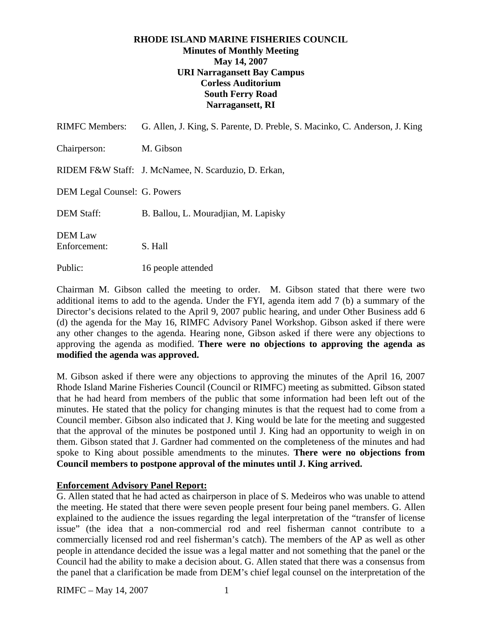# **RHODE ISLAND MARINE FISHERIES COUNCIL Minutes of Monthly Meeting May 14, 2007 URI Narragansett Bay Campus Corless Auditorium South Ferry Road Narragansett, RI**

| <b>RIMFC Members:</b>               | G. Allen, J. King, S. Parente, D. Preble, S. Macinko, C. Anderson, J. King |
|-------------------------------------|----------------------------------------------------------------------------|
| Chairperson:                        | M. Gibson                                                                  |
|                                     | RIDEM F&W Staff: J. McNamee, N. Scarduzio, D. Erkan,                       |
| <b>DEM Legal Counsel: G. Powers</b> |                                                                            |
| <b>DEM Staff:</b>                   | B. Ballou, L. Mouradjian, M. Lapisky                                       |
| <b>DEM Law</b><br>Enforcement:      | S. Hall                                                                    |
| Public:                             | 16 people attended                                                         |

Chairman M. Gibson called the meeting to order. M. Gibson stated that there were two additional items to add to the agenda. Under the FYI, agenda item add 7 (b) a summary of the Director's decisions related to the April 9, 2007 public hearing, and under Other Business add 6 (d) the agenda for the May 16, RIMFC Advisory Panel Workshop. Gibson asked if there were any other changes to the agenda. Hearing none, Gibson asked if there were any objections to approving the agenda as modified. **There were no objections to approving the agenda as modified the agenda was approved.** 

M. Gibson asked if there were any objections to approving the minutes of the April 16, 2007 Rhode Island Marine Fisheries Council (Council or RIMFC) meeting as submitted. Gibson stated that he had heard from members of the public that some information had been left out of the minutes. He stated that the policy for changing minutes is that the request had to come from a Council member. Gibson also indicated that J. King would be late for the meeting and suggested that the approval of the minutes be postponed until J. King had an opportunity to weigh in on them. Gibson stated that J. Gardner had commented on the completeness of the minutes and had spoke to King about possible amendments to the minutes. **There were no objections from Council members to postpone approval of the minutes until J. King arrived.** 

### **Enforcement Advisory Panel Report:**

G. Allen stated that he had acted as chairperson in place of S. Medeiros who was unable to attend the meeting. He stated that there were seven people present four being panel members. G. Allen explained to the audience the issues regarding the legal interpretation of the "transfer of license issue" (the idea that a non-commercial rod and reel fisherman cannot contribute to a commercially licensed rod and reel fisherman's catch). The members of the AP as well as other people in attendance decided the issue was a legal matter and not something that the panel or the Council had the ability to make a decision about. G. Allen stated that there was a consensus from the panel that a clarification be made from DEM's chief legal counsel on the interpretation of the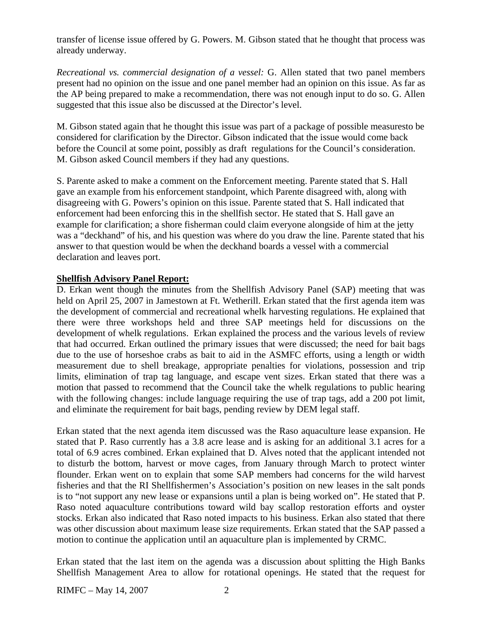transfer of license issue offered by G. Powers. M. Gibson stated that he thought that process was already underway.

*Recreational vs. commercial designation of a vessel:* G. Allen stated that two panel members present had no opinion on the issue and one panel member had an opinion on this issue. As far as the AP being prepared to make a recommendation, there was not enough input to do so. G. Allen suggested that this issue also be discussed at the Director's level.

M. Gibson stated again that he thought this issue was part of a package of possible measuresto be considered for clarification by the Director. Gibson indicated that the issue would come back before the Council at some point, possibly as draft regulations for the Council's consideration. M. Gibson asked Council members if they had any questions.

S. Parente asked to make a comment on the Enforcement meeting. Parente stated that S. Hall gave an example from his enforcement standpoint, which Parente disagreed with, along with disagreeing with G. Powers's opinion on this issue. Parente stated that S. Hall indicated that enforcement had been enforcing this in the shellfish sector. He stated that S. Hall gave an example for clarification; a shore fisherman could claim everyone alongside of him at the jetty was a "deckhand" of his, and his question was where do you draw the line. Parente stated that his answer to that question would be when the deckhand boards a vessel with a commercial declaration and leaves port.

# **Shellfish Advisory Panel Report:**

D. Erkan went though the minutes from the Shellfish Advisory Panel (SAP) meeting that was held on April 25, 2007 in Jamestown at Ft. Wetherill. Erkan stated that the first agenda item was the development of commercial and recreational whelk harvesting regulations. He explained that there were three workshops held and three SAP meetings held for discussions on the development of whelk regulations. Erkan explained the process and the various levels of review that had occurred. Erkan outlined the primary issues that were discussed; the need for bait bags due to the use of horseshoe crabs as bait to aid in the ASMFC efforts, using a length or width measurement due to shell breakage, appropriate penalties for violations, possession and trip limits, elimination of trap tag language, and escape vent sizes. Erkan stated that there was a motion that passed to recommend that the Council take the whelk regulations to public hearing with the following changes: include language requiring the use of trap tags, add a 200 pot limit, and eliminate the requirement for bait bags, pending review by DEM legal staff.

Erkan stated that the next agenda item discussed was the Raso aquaculture lease expansion. He stated that P. Raso currently has a 3.8 acre lease and is asking for an additional 3.1 acres for a total of 6.9 acres combined. Erkan explained that D. Alves noted that the applicant intended not to disturb the bottom, harvest or move cages, from January through March to protect winter flounder. Erkan went on to explain that some SAP members had concerns for the wild harvest fisheries and that the RI Shellfishermen's Association's position on new leases in the salt ponds is to "not support any new lease or expansions until a plan is being worked on". He stated that P. Raso noted aquaculture contributions toward wild bay scallop restoration efforts and oyster stocks. Erkan also indicated that Raso noted impacts to his business. Erkan also stated that there was other discussion about maximum lease size requirements. Erkan stated that the SAP passed a motion to continue the application until an aquaculture plan is implemented by CRMC.

Erkan stated that the last item on the agenda was a discussion about splitting the High Banks Shellfish Management Area to allow for rotational openings. He stated that the request for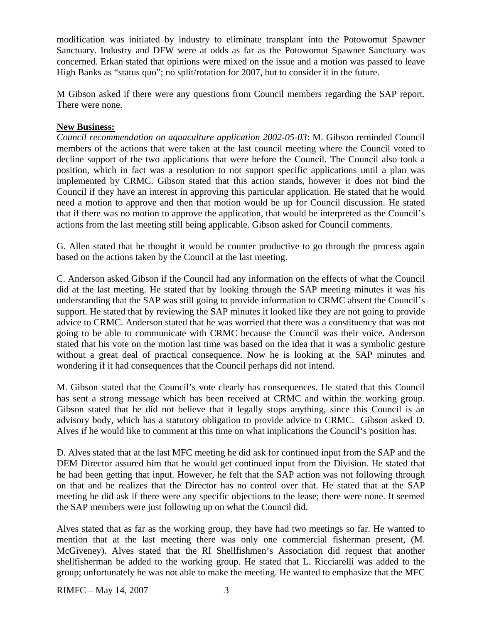modification was initiated by industry to eliminate transplant into the Potowomut Spawner Sanctuary. Industry and DFW were at odds as far as the Potowomut Spawner Sanctuary was concerned. Erkan stated that opinions were mixed on the issue and a motion was passed to leave High Banks as "status quo"; no split/rotation for 2007, but to consider it in the future.

M Gibson asked if there were any questions from Council members regarding the SAP report. There were none.

# **New Business:**

*Council recommendation on aquaculture application 2002-05-03*: M. Gibson reminded Council members of the actions that were taken at the last council meeting where the Council voted to decline support of the two applications that were before the Council. The Council also took a position, which in fact was a resolution to not support specific applications until a plan was implemented by CRMC. Gibson stated that this action stands, however it does not bind the Council if they have an interest in approving this particular application. He stated that he would need a motion to approve and then that motion would be up for Council discussion. He stated that if there was no motion to approve the application, that would be interpreted as the Council's actions from the last meeting still being applicable. Gibson asked for Council comments.

G. Allen stated that he thought it would be counter productive to go through the process again based on the actions taken by the Council at the last meeting.

C. Anderson asked Gibson if the Council had any information on the effects of what the Council did at the last meeting. He stated that by looking through the SAP meeting minutes it was his understanding that the SAP was still going to provide information to CRMC absent the Council's support. He stated that by reviewing the SAP minutes it looked like they are not going to provide advice to CRMC. Anderson stated that he was worried that there was a constituency that was not going to be able to communicate with CRMC because the Council was their voice. Anderson stated that his vote on the motion last time was based on the idea that it was a symbolic gesture without a great deal of practical consequence. Now he is looking at the SAP minutes and wondering if it had consequences that the Council perhaps did not intend.

M. Gibson stated that the Council's vote clearly has consequences. He stated that this Council has sent a strong message which has been received at CRMC and within the working group. Gibson stated that he did not believe that it legally stops anything, since this Council is an advisory body, which has a statutory obligation to provide advice to CRMC. Gibson asked D. Alves if he would like to comment at this time on what implications the Council's position has.

D. Alves stated that at the last MFC meeting he did ask for continued input from the SAP and the DEM Director assured him that he would get continued input from the Division. He stated that he had been getting that input. However, he felt that the SAP action was not following through on that and he realizes that the Director has no control over that. He stated that at the SAP meeting he did ask if there were any specific objections to the lease; there were none. It seemed the SAP members were just following up on what the Council did.

Alves stated that as far as the working group, they have had two meetings so far. He wanted to mention that at the last meeting there was only one commercial fisherman present, (M. McGiveney). Alves stated that the RI Shellfishmen's Association did request that another shellfisherman be added to the working group. He stated that L. Ricciarelli was added to the group; unfortunately he was not able to make the meeting. He wanted to emphasize that the MFC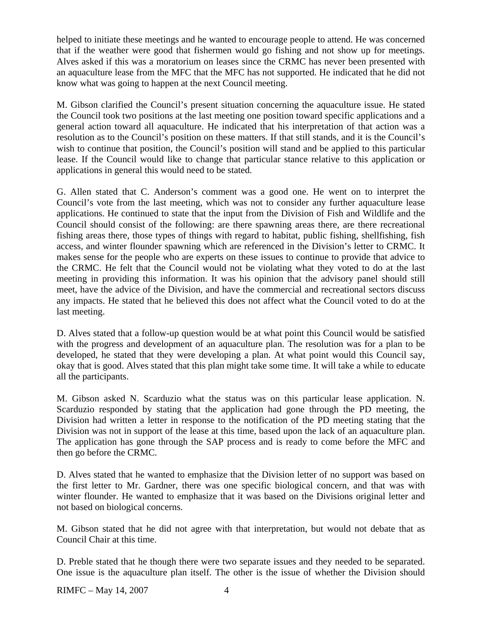helped to initiate these meetings and he wanted to encourage people to attend. He was concerned that if the weather were good that fishermen would go fishing and not show up for meetings. Alves asked if this was a moratorium on leases since the CRMC has never been presented with an aquaculture lease from the MFC that the MFC has not supported. He indicated that he did not know what was going to happen at the next Council meeting.

M. Gibson clarified the Council's present situation concerning the aquaculture issue. He stated the Council took two positions at the last meeting one position toward specific applications and a general action toward all aquaculture. He indicated that his interpretation of that action was a resolution as to the Council's position on these matters. If that still stands, and it is the Council's wish to continue that position, the Council's position will stand and be applied to this particular lease. If the Council would like to change that particular stance relative to this application or applications in general this would need to be stated.

G. Allen stated that C. Anderson's comment was a good one. He went on to interpret the Council's vote from the last meeting, which was not to consider any further aquaculture lease applications. He continued to state that the input from the Division of Fish and Wildlife and the Council should consist of the following: are there spawning areas there, are there recreational fishing areas there, those types of things with regard to habitat, public fishing, shellfishing, fish access, and winter flounder spawning which are referenced in the Division's letter to CRMC. It makes sense for the people who are experts on these issues to continue to provide that advice to the CRMC. He felt that the Council would not be violating what they voted to do at the last meeting in providing this information. It was his opinion that the advisory panel should still meet, have the advice of the Division, and have the commercial and recreational sectors discuss any impacts. He stated that he believed this does not affect what the Council voted to do at the last meeting.

D. Alves stated that a follow-up question would be at what point this Council would be satisfied with the progress and development of an aquaculture plan. The resolution was for a plan to be developed, he stated that they were developing a plan. At what point would this Council say, okay that is good. Alves stated that this plan might take some time. It will take a while to educate all the participants.

M. Gibson asked N. Scarduzio what the status was on this particular lease application. N. Scarduzio responded by stating that the application had gone through the PD meeting, the Division had written a letter in response to the notification of the PD meeting stating that the Division was not in support of the lease at this time, based upon the lack of an aquaculture plan. The application has gone through the SAP process and is ready to come before the MFC and then go before the CRMC.

D. Alves stated that he wanted to emphasize that the Division letter of no support was based on the first letter to Mr. Gardner, there was one specific biological concern, and that was with winter flounder. He wanted to emphasize that it was based on the Divisions original letter and not based on biological concerns.

M. Gibson stated that he did not agree with that interpretation, but would not debate that as Council Chair at this time.

D. Preble stated that he though there were two separate issues and they needed to be separated. One issue is the aquaculture plan itself. The other is the issue of whether the Division should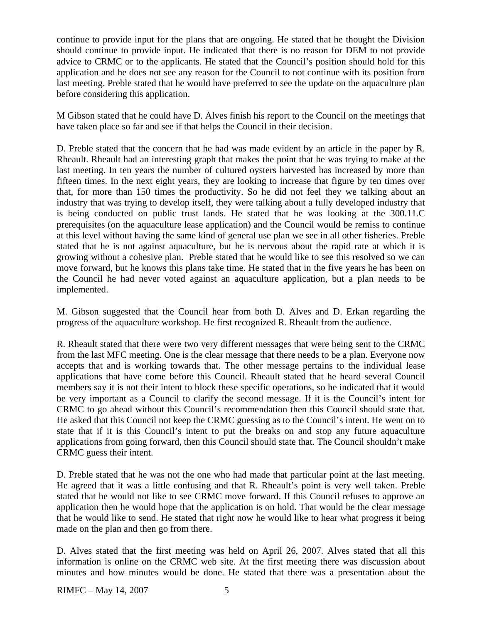continue to provide input for the plans that are ongoing. He stated that he thought the Division should continue to provide input. He indicated that there is no reason for DEM to not provide advice to CRMC or to the applicants. He stated that the Council's position should hold for this application and he does not see any reason for the Council to not continue with its position from last meeting. Preble stated that he would have preferred to see the update on the aquaculture plan before considering this application.

M Gibson stated that he could have D. Alves finish his report to the Council on the meetings that have taken place so far and see if that helps the Council in their decision.

D. Preble stated that the concern that he had was made evident by an article in the paper by R. Rheault. Rheault had an interesting graph that makes the point that he was trying to make at the last meeting. In ten years the number of cultured oysters harvested has increased by more than fifteen times. In the next eight years, they are looking to increase that figure by ten times over that, for more than 150 times the productivity. So he did not feel they we talking about an industry that was trying to develop itself, they were talking about a fully developed industry that is being conducted on public trust lands. He stated that he was looking at the 300.11.C prerequisites (on the aquaculture lease application) and the Council would be remiss to continue at this level without having the same kind of general use plan we see in all other fisheries. Preble stated that he is not against aquaculture, but he is nervous about the rapid rate at which it is growing without a cohesive plan. Preble stated that he would like to see this resolved so we can move forward, but he knows this plans take time. He stated that in the five years he has been on the Council he had never voted against an aquaculture application, but a plan needs to be implemented.

M. Gibson suggested that the Council hear from both D. Alves and D. Erkan regarding the progress of the aquaculture workshop. He first recognized R. Rheault from the audience.

R. Rheault stated that there were two very different messages that were being sent to the CRMC from the last MFC meeting. One is the clear message that there needs to be a plan. Everyone now accepts that and is working towards that. The other message pertains to the individual lease applications that have come before this Council. Rheault stated that he heard several Council members say it is not their intent to block these specific operations, so he indicated that it would be very important as a Council to clarify the second message. If it is the Council's intent for CRMC to go ahead without this Council's recommendation then this Council should state that. He asked that this Council not keep the CRMC guessing as to the Council's intent. He went on to state that if it is this Council's intent to put the breaks on and stop any future aquaculture applications from going forward, then this Council should state that. The Council shouldn't make CRMC guess their intent.

D. Preble stated that he was not the one who had made that particular point at the last meeting. He agreed that it was a little confusing and that R. Rheault's point is very well taken. Preble stated that he would not like to see CRMC move forward. If this Council refuses to approve an application then he would hope that the application is on hold. That would be the clear message that he would like to send. He stated that right now he would like to hear what progress it being made on the plan and then go from there.

D. Alves stated that the first meeting was held on April 26, 2007. Alves stated that all this information is online on the CRMC web site. At the first meeting there was discussion about minutes and how minutes would be done. He stated that there was a presentation about the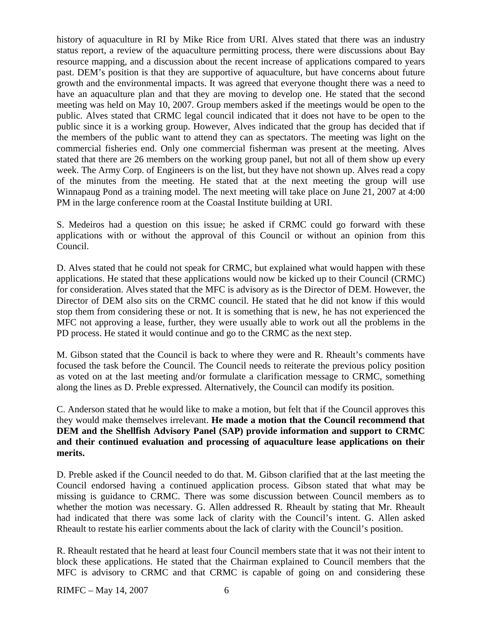history of aquaculture in RI by Mike Rice from URI. Alves stated that there was an industry status report, a review of the aquaculture permitting process, there were discussions about Bay resource mapping, and a discussion about the recent increase of applications compared to years past. DEM's position is that they are supportive of aquaculture, but have concerns about future growth and the environmental impacts. It was agreed that everyone thought there was a need to have an aquaculture plan and that they are moving to develop one. He stated that the second meeting was held on May 10, 2007. Group members asked if the meetings would be open to the public. Alves stated that CRMC legal council indicated that it does not have to be open to the public since it is a working group. However, Alves indicated that the group has decided that if the members of the public want to attend they can as spectators. The meeting was light on the commercial fisheries end. Only one commercial fisherman was present at the meeting. Alves stated that there are 26 members on the working group panel, but not all of them show up every week. The Army Corp. of Engineers is on the list, but they have not shown up. Alves read a copy of the minutes from the meeting. He stated that at the next meeting the group will use Winnapaug Pond as a training model. The next meeting will take place on June 21, 2007 at 4:00 PM in the large conference room at the Coastal Institute building at URI.

S. Medeiros had a question on this issue; he asked if CRMC could go forward with these applications with or without the approval of this Council or without an opinion from this Council.

D. Alves stated that he could not speak for CRMC, but explained what would happen with these applications. He stated that these applications would now be kicked up to their Council (CRMC) for consideration. Alves stated that the MFC is advisory as is the Director of DEM. However, the Director of DEM also sits on the CRMC council. He stated that he did not know if this would stop them from considering these or not. It is something that is new, he has not experienced the MFC not approving a lease, further, they were usually able to work out all the problems in the PD process. He stated it would continue and go to the CRMC as the next step.

M. Gibson stated that the Council is back to where they were and R. Rheault's comments have focused the task before the Council. The Council needs to reiterate the previous policy position as voted on at the last meeting and/or formulate a clarification message to CRMC, something along the lines as D. Preble expressed. Alternatively, the Council can modify its position.

C. Anderson stated that he would like to make a motion, but felt that if the Council approves this they would make themselves irrelevant. **He made a motion that the Council recommend that DEM and the Shellfish Advisory Panel (SAP) provide information and support to CRMC and their continued evaluation and processing of aquaculture lease applications on their merits.** 

D. Preble asked if the Council needed to do that. M. Gibson clarified that at the last meeting the Council endorsed having a continued application process. Gibson stated that what may be missing is guidance to CRMC. There was some discussion between Council members as to whether the motion was necessary. G. Allen addressed R. Rheault by stating that Mr. Rheault had indicated that there was some lack of clarity with the Council's intent. G. Allen asked Rheault to restate his earlier comments about the lack of clarity with the Council's position.

R. Rheault restated that he heard at least four Council members state that it was not their intent to block these applications. He stated that the Chairman explained to Council members that the MFC is advisory to CRMC and that CRMC is capable of going on and considering these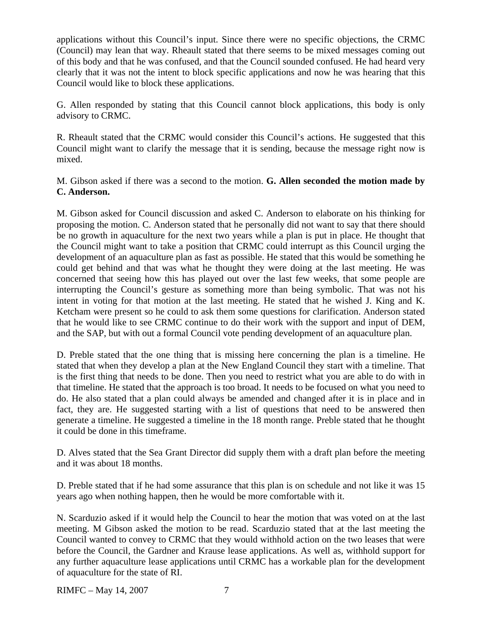applications without this Council's input. Since there were no specific objections, the CRMC (Council) may lean that way. Rheault stated that there seems to be mixed messages coming out of this body and that he was confused, and that the Council sounded confused. He had heard very clearly that it was not the intent to block specific applications and now he was hearing that this Council would like to block these applications.

G. Allen responded by stating that this Council cannot block applications, this body is only advisory to CRMC.

R. Rheault stated that the CRMC would consider this Council's actions. He suggested that this Council might want to clarify the message that it is sending, because the message right now is mixed.

M. Gibson asked if there was a second to the motion. **G. Allen seconded the motion made by C. Anderson.**

M. Gibson asked for Council discussion and asked C. Anderson to elaborate on his thinking for proposing the motion. C. Anderson stated that he personally did not want to say that there should be no growth in aquaculture for the next two years while a plan is put in place. He thought that the Council might want to take a position that CRMC could interrupt as this Council urging the development of an aquaculture plan as fast as possible. He stated that this would be something he could get behind and that was what he thought they were doing at the last meeting. He was concerned that seeing how this has played out over the last few weeks, that some people are interrupting the Council's gesture as something more than being symbolic. That was not his intent in voting for that motion at the last meeting. He stated that he wished J. King and K. Ketcham were present so he could to ask them some questions for clarification. Anderson stated that he would like to see CRMC continue to do their work with the support and input of DEM, and the SAP, but with out a formal Council vote pending development of an aquaculture plan.

D. Preble stated that the one thing that is missing here concerning the plan is a timeline. He stated that when they develop a plan at the New England Council they start with a timeline. That is the first thing that needs to be done. Then you need to restrict what you are able to do with in that timeline. He stated that the approach is too broad. It needs to be focused on what you need to do. He also stated that a plan could always be amended and changed after it is in place and in fact, they are. He suggested starting with a list of questions that need to be answered then generate a timeline. He suggested a timeline in the 18 month range. Preble stated that he thought it could be done in this timeframe.

D. Alves stated that the Sea Grant Director did supply them with a draft plan before the meeting and it was about 18 months.

D. Preble stated that if he had some assurance that this plan is on schedule and not like it was 15 years ago when nothing happen, then he would be more comfortable with it.

N. Scarduzio asked if it would help the Council to hear the motion that was voted on at the last meeting. M Gibson asked the motion to be read. Scarduzio stated that at the last meeting the Council wanted to convey to CRMC that they would withhold action on the two leases that were before the Council, the Gardner and Krause lease applications. As well as, withhold support for any further aquaculture lease applications until CRMC has a workable plan for the development of aquaculture for the state of RI.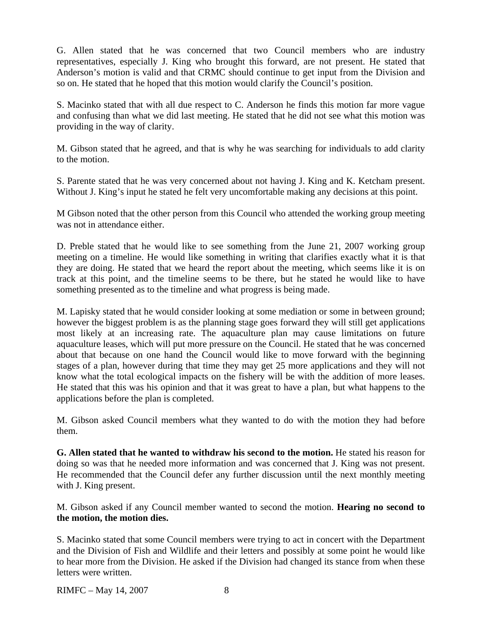G. Allen stated that he was concerned that two Council members who are industry representatives, especially J. King who brought this forward, are not present. He stated that Anderson's motion is valid and that CRMC should continue to get input from the Division and so on. He stated that he hoped that this motion would clarify the Council's position.

S. Macinko stated that with all due respect to C. Anderson he finds this motion far more vague and confusing than what we did last meeting. He stated that he did not see what this motion was providing in the way of clarity.

M. Gibson stated that he agreed, and that is why he was searching for individuals to add clarity to the motion.

S. Parente stated that he was very concerned about not having J. King and K. Ketcham present. Without J. King's input he stated he felt very uncomfortable making any decisions at this point.

M Gibson noted that the other person from this Council who attended the working group meeting was not in attendance either.

D. Preble stated that he would like to see something from the June 21, 2007 working group meeting on a timeline. He would like something in writing that clarifies exactly what it is that they are doing. He stated that we heard the report about the meeting, which seems like it is on track at this point, and the timeline seems to be there, but he stated he would like to have something presented as to the timeline and what progress is being made.

M. Lapisky stated that he would consider looking at some mediation or some in between ground; however the biggest problem is as the planning stage goes forward they will still get applications most likely at an increasing rate. The aquaculture plan may cause limitations on future aquaculture leases, which will put more pressure on the Council. He stated that he was concerned about that because on one hand the Council would like to move forward with the beginning stages of a plan, however during that time they may get 25 more applications and they will not know what the total ecological impacts on the fishery will be with the addition of more leases. He stated that this was his opinion and that it was great to have a plan, but what happens to the applications before the plan is completed.

M. Gibson asked Council members what they wanted to do with the motion they had before them.

**G. Allen stated that he wanted to withdraw his second to the motion.** He stated his reason for doing so was that he needed more information and was concerned that J. King was not present. He recommended that the Council defer any further discussion until the next monthly meeting with J. King present.

M. Gibson asked if any Council member wanted to second the motion. **Hearing no second to the motion, the motion dies.** 

S. Macinko stated that some Council members were trying to act in concert with the Department and the Division of Fish and Wildlife and their letters and possibly at some point he would like to hear more from the Division. He asked if the Division had changed its stance from when these letters were written.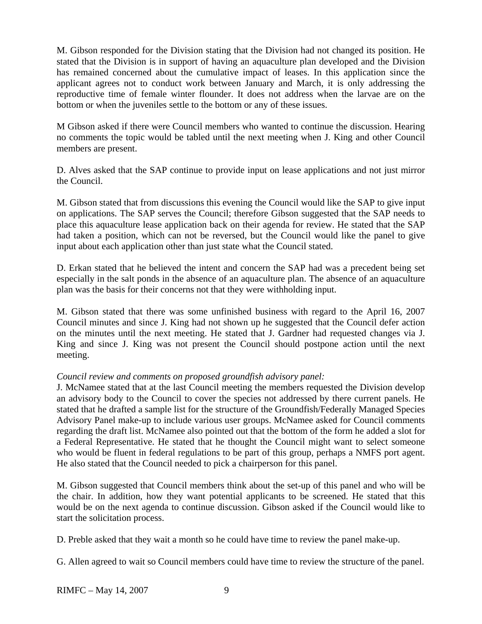M. Gibson responded for the Division stating that the Division had not changed its position. He stated that the Division is in support of having an aquaculture plan developed and the Division has remained concerned about the cumulative impact of leases. In this application since the applicant agrees not to conduct work between January and March, it is only addressing the reproductive time of female winter flounder. It does not address when the larvae are on the bottom or when the juveniles settle to the bottom or any of these issues.

M Gibson asked if there were Council members who wanted to continue the discussion. Hearing no comments the topic would be tabled until the next meeting when J. King and other Council members are present.

D. Alves asked that the SAP continue to provide input on lease applications and not just mirror the Council.

M. Gibson stated that from discussions this evening the Council would like the SAP to give input on applications. The SAP serves the Council; therefore Gibson suggested that the SAP needs to place this aquaculture lease application back on their agenda for review. He stated that the SAP had taken a position, which can not be reversed, but the Council would like the panel to give input about each application other than just state what the Council stated.

D. Erkan stated that he believed the intent and concern the SAP had was a precedent being set especially in the salt ponds in the absence of an aquaculture plan. The absence of an aquaculture plan was the basis for their concerns not that they were withholding input.

M. Gibson stated that there was some unfinished business with regard to the April 16, 2007 Council minutes and since J. King had not shown up he suggested that the Council defer action on the minutes until the next meeting. He stated that J. Gardner had requested changes via J. King and since J. King was not present the Council should postpone action until the next meeting.

# *Council review and comments on proposed groundfish advisory panel:*

J. McNamee stated that at the last Council meeting the members requested the Division develop an advisory body to the Council to cover the species not addressed by there current panels. He stated that he drafted a sample list for the structure of the Groundfish/Federally Managed Species Advisory Panel make-up to include various user groups. McNamee asked for Council comments regarding the draft list. McNamee also pointed out that the bottom of the form he added a slot for a Federal Representative. He stated that he thought the Council might want to select someone who would be fluent in federal regulations to be part of this group, perhaps a NMFS port agent. He also stated that the Council needed to pick a chairperson for this panel.

M. Gibson suggested that Council members think about the set-up of this panel and who will be the chair. In addition, how they want potential applicants to be screened. He stated that this would be on the next agenda to continue discussion. Gibson asked if the Council would like to start the solicitation process.

D. Preble asked that they wait a month so he could have time to review the panel make-up.

G. Allen agreed to wait so Council members could have time to review the structure of the panel.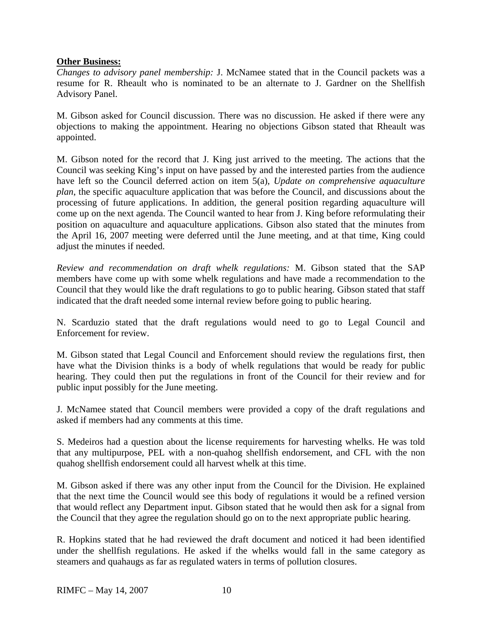# **Other Business:**

*Changes to advisory panel membership:* J. McNamee stated that in the Council packets was a resume for R. Rheault who is nominated to be an alternate to J. Gardner on the Shellfish Advisory Panel.

M. Gibson asked for Council discussion. There was no discussion. He asked if there were any objections to making the appointment. Hearing no objections Gibson stated that Rheault was appointed.

M. Gibson noted for the record that J. King just arrived to the meeting. The actions that the Council was seeking King's input on have passed by and the interested parties from the audience have left so the Council deferred action on item 5(a), *Update on comprehensive aquaculture plan*, the specific aquaculture application that was before the Council, and discussions about the processing of future applications. In addition, the general position regarding aquaculture will come up on the next agenda. The Council wanted to hear from J. King before reformulating their position on aquaculture and aquaculture applications. Gibson also stated that the minutes from the April 16, 2007 meeting were deferred until the June meeting, and at that time, King could adjust the minutes if needed.

*Review and recommendation on draft whelk regulations:* M. Gibson stated that the SAP members have come up with some whelk regulations and have made a recommendation to the Council that they would like the draft regulations to go to public hearing. Gibson stated that staff indicated that the draft needed some internal review before going to public hearing.

N. Scarduzio stated that the draft regulations would need to go to Legal Council and Enforcement for review.

M. Gibson stated that Legal Council and Enforcement should review the regulations first, then have what the Division thinks is a body of whelk regulations that would be ready for public hearing. They could then put the regulations in front of the Council for their review and for public input possibly for the June meeting.

J. McNamee stated that Council members were provided a copy of the draft regulations and asked if members had any comments at this time.

S. Medeiros had a question about the license requirements for harvesting whelks. He was told that any multipurpose, PEL with a non-quahog shellfish endorsement, and CFL with the non quahog shellfish endorsement could all harvest whelk at this time.

M. Gibson asked if there was any other input from the Council for the Division. He explained that the next time the Council would see this body of regulations it would be a refined version that would reflect any Department input. Gibson stated that he would then ask for a signal from the Council that they agree the regulation should go on to the next appropriate public hearing.

R. Hopkins stated that he had reviewed the draft document and noticed it had been identified under the shellfish regulations. He asked if the whelks would fall in the same category as steamers and quahaugs as far as regulated waters in terms of pollution closures.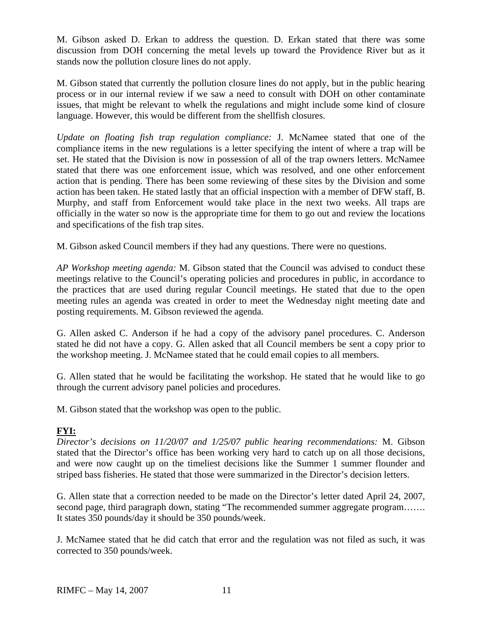M. Gibson asked D. Erkan to address the question. D. Erkan stated that there was some discussion from DOH concerning the metal levels up toward the Providence River but as it stands now the pollution closure lines do not apply.

M. Gibson stated that currently the pollution closure lines do not apply, but in the public hearing process or in our internal review if we saw a need to consult with DOH on other contaminate issues, that might be relevant to whelk the regulations and might include some kind of closure language. However, this would be different from the shellfish closures.

*Update on floating fish trap regulation compliance:* J. McNamee stated that one of the compliance items in the new regulations is a letter specifying the intent of where a trap will be set. He stated that the Division is now in possession of all of the trap owners letters. McNamee stated that there was one enforcement issue, which was resolved, and one other enforcement action that is pending. There has been some reviewing of these sites by the Division and some action has been taken. He stated lastly that an official inspection with a member of DFW staff, B. Murphy, and staff from Enforcement would take place in the next two weeks. All traps are officially in the water so now is the appropriate time for them to go out and review the locations and specifications of the fish trap sites.

M. Gibson asked Council members if they had any questions. There were no questions.

*AP Workshop meeting agenda:* M. Gibson stated that the Council was advised to conduct these meetings relative to the Council's operating policies and procedures in public, in accordance to the practices that are used during regular Council meetings. He stated that due to the open meeting rules an agenda was created in order to meet the Wednesday night meeting date and posting requirements. M. Gibson reviewed the agenda.

G. Allen asked C. Anderson if he had a copy of the advisory panel procedures. C. Anderson stated he did not have a copy. G. Allen asked that all Council members be sent a copy prior to the workshop meeting. J. McNamee stated that he could email copies to all members.

G. Allen stated that he would be facilitating the workshop. He stated that he would like to go through the current advisory panel policies and procedures.

M. Gibson stated that the workshop was open to the public.

# **FYI:**

*Director's decisions on 11/20/07 and 1/25/07 public hearing recommendations:* M. Gibson stated that the Director's office has been working very hard to catch up on all those decisions, and were now caught up on the timeliest decisions like the Summer 1 summer flounder and striped bass fisheries. He stated that those were summarized in the Director's decision letters.

G. Allen state that a correction needed to be made on the Director's letter dated April 24, 2007, second page, third paragraph down, stating "The recommended summer aggregate program....... It states 350 pounds/day it should be 350 pounds/week.

J. McNamee stated that he did catch that error and the regulation was not filed as such, it was corrected to 350 pounds/week.